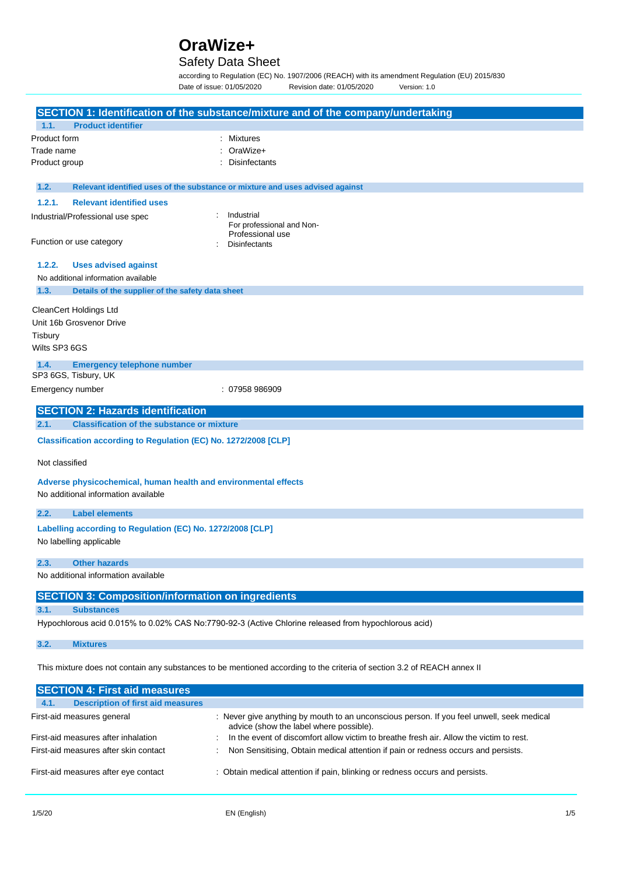# Safety Data Sheet

according to Regulation (EC) No. 1907/2006 (REACH) with its amendment Regulation (EU) 2015/830<br>Date of issue: 01/05/2020 Revision date: 01/05/2020 Version: 1.0 Revision date: 01/05/2020 Version: 1.0

|                                                                                                                            |                                                                 | SECTION 1: Identification of the substance/mixture and of the company/undertaking                                                    |  |
|----------------------------------------------------------------------------------------------------------------------------|-----------------------------------------------------------------|--------------------------------------------------------------------------------------------------------------------------------------|--|
| 1.1.                                                                                                                       | <b>Product identifier</b>                                       |                                                                                                                                      |  |
| Product form                                                                                                               |                                                                 | <b>Mixtures</b>                                                                                                                      |  |
| Trade name                                                                                                                 |                                                                 | OraWize+                                                                                                                             |  |
| Product group                                                                                                              |                                                                 | <b>Disinfectants</b>                                                                                                                 |  |
| 1.2.                                                                                                                       |                                                                 | Relevant identified uses of the substance or mixture and uses advised against                                                        |  |
| 1.2.1.                                                                                                                     | <b>Relevant identified uses</b>                                 |                                                                                                                                      |  |
|                                                                                                                            | Industrial/Professional use spec                                | Industrial<br>For professional and Non-<br>Professional use                                                                          |  |
|                                                                                                                            | Function or use category                                        | <b>Disinfectants</b>                                                                                                                 |  |
| 1.2.2.                                                                                                                     | <b>Uses advised against</b>                                     |                                                                                                                                      |  |
|                                                                                                                            | No additional information available                             |                                                                                                                                      |  |
| 1.3.                                                                                                                       | Details of the supplier of the safety data sheet                |                                                                                                                                      |  |
|                                                                                                                            | <b>CleanCert Holdings Ltd</b>                                   |                                                                                                                                      |  |
|                                                                                                                            | Unit 16b Grosvenor Drive                                        |                                                                                                                                      |  |
| Tisbury                                                                                                                    |                                                                 |                                                                                                                                      |  |
| Wilts SP3 6GS                                                                                                              |                                                                 |                                                                                                                                      |  |
| 1.4.                                                                                                                       | <b>Emergency telephone number</b>                               |                                                                                                                                      |  |
|                                                                                                                            | SP3 6GS, Tisbury, UK                                            |                                                                                                                                      |  |
|                                                                                                                            | Emergency number                                                | : 07958 986909                                                                                                                       |  |
|                                                                                                                            | <b>SECTION 2: Hazards identification</b>                        |                                                                                                                                      |  |
| 2.1.                                                                                                                       | <b>Classification of the substance or mixture</b>               |                                                                                                                                      |  |
|                                                                                                                            | Classification according to Regulation (EC) No. 1272/2008 [CLP] |                                                                                                                                      |  |
|                                                                                                                            |                                                                 |                                                                                                                                      |  |
| Not classified                                                                                                             |                                                                 |                                                                                                                                      |  |
|                                                                                                                            | Adverse physicochemical, human health and environmental effects |                                                                                                                                      |  |
|                                                                                                                            | No additional information available                             |                                                                                                                                      |  |
| 2.2.                                                                                                                       | <b>Label elements</b>                                           |                                                                                                                                      |  |
|                                                                                                                            | Labelling according to Regulation (EC) No. 1272/2008 [CLP]      |                                                                                                                                      |  |
|                                                                                                                            | No labelling applicable                                         |                                                                                                                                      |  |
| 2.3.                                                                                                                       | <b>Other hazards</b>                                            |                                                                                                                                      |  |
|                                                                                                                            | No additional information available                             |                                                                                                                                      |  |
|                                                                                                                            | <b>SECTION 3: Composition/information on ingredients</b>        |                                                                                                                                      |  |
| 3.1.                                                                                                                       | <b>Substances</b>                                               |                                                                                                                                      |  |
|                                                                                                                            |                                                                 | Hypochlorous acid 0.015% to 0.02% CAS No:7790-92-3 (Active Chlorine released from hypochlorous acid)                                 |  |
| 3.2.                                                                                                                       | <b>Mixtures</b>                                                 |                                                                                                                                      |  |
|                                                                                                                            |                                                                 | This mixture does not contain any substances to be mentioned according to the criteria of section 3.2 of REACH annex II              |  |
|                                                                                                                            | <b>SECTION 4: First aid measures</b>                            |                                                                                                                                      |  |
| 4.1.                                                                                                                       | <b>Description of first aid measures</b>                        |                                                                                                                                      |  |
|                                                                                                                            | First-aid measures general                                      | : Never give anything by mouth to an unconscious person. If you feel unwell, seek medical<br>advice (show the label where possible). |  |
|                                                                                                                            | First-aid measures after inhalation                             | In the event of discomfort allow victim to breathe fresh air. Allow the victim to rest.                                              |  |
| First-aid measures after skin contact<br>Non Sensitising, Obtain medical attention if pain or redness occurs and persists. |                                                                 |                                                                                                                                      |  |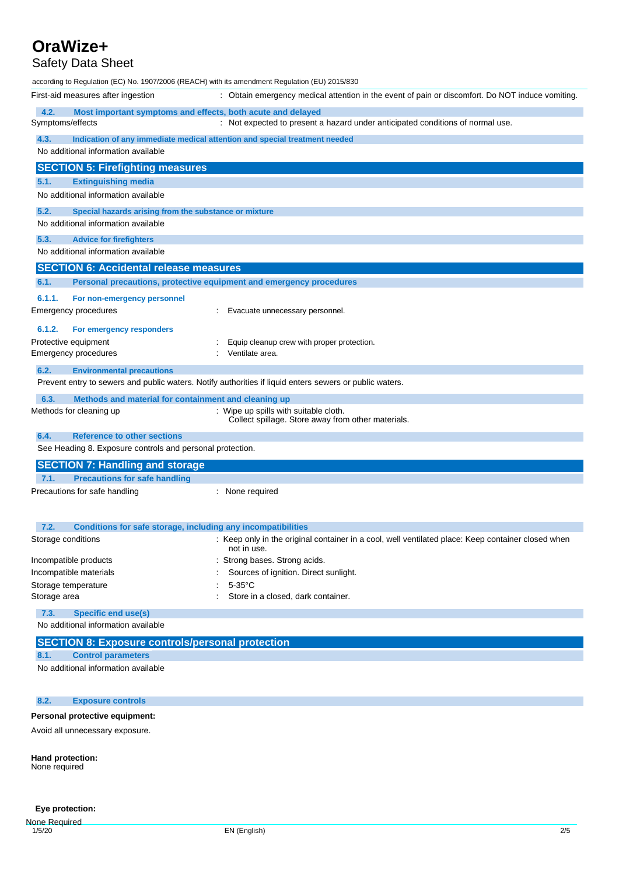# Safety Data Sheet

according to Regulation (EC) No. 1907/2006 (REACH) with its amendment Regulation (EU) 2015/830 First-aid measures after ingestion : Obtain emergency medical attention in the event of pain or discomfort. Do NOT induce vomiting. **4.2. Most important symptoms and effects, both acute and delayed** Symptoms/effects : Not expected to present a hazard under anticipated conditions of normal use. **4.3. Indication of any immediate medical attention and special treatment needed** No additional information available **SECTION 5: Firefighting measures 5.1. Extinguishing media** No additional information available **5.2. Special hazards arising from the substance or mixture** No additional information available

#### **5.3. Advice for firefighters**

No additional information available

# **SECTION 6: Accidental release measures 6.1. Personal precautions, protective equipment and emergency procedures 6.1.1. For non-emergency personnel** Emergency procedures : Evacuate unnecessary personnel. **6.1.2. For emergency responders**

Protective equipment Emergency procedures : Equip cleanup crew with proper protection. : Ventilate area.

**6.2. Environmental precautions**

Prevent entry to sewers and public waters. Notify authorities if liquid enters sewers or public waters.

#### **6.3. Methods and material for containment and cleaning up**

Methods for cleaning up **interpretional contract of the System** of Wipe up spills with suitable cloth. Collect spillage. Store away from other materials.

**6.4. Reference to other sections** See Heading 8. Exposure controls and personal protection. **SECTION 7: Handling and storage 7.1. Precautions for safe handling** Precautions for safe handling **in the cautions** : None required **7.2. Conditions for safe storage, including any incompatibilities**

| Storage conditions     | : Keep only in the original container in a cool, well ventilated place: Keep container closed when<br>not in use. |
|------------------------|-------------------------------------------------------------------------------------------------------------------|
| Incompatible products  | : Strong bases. Strong acids.                                                                                     |
| Incompatible materials | Sources of ignition. Direct sunlight.                                                                             |
| Storage temperature    | 5-35°C                                                                                                            |
| Storage area           | Store in a closed, dark container.                                                                                |
|                        |                                                                                                                   |

# **7.3. Specific end use(s)**

No additional information available

# **SECTION 8: Exposure controls/personal protection**

## **8.1. Control parameters**

No additional information available

#### **8.2. Exposure controls**

#### **Personal protective equipment:**

Avoid all unnecessary exposure.

**Hand protection:** None required

## **Eye protection:**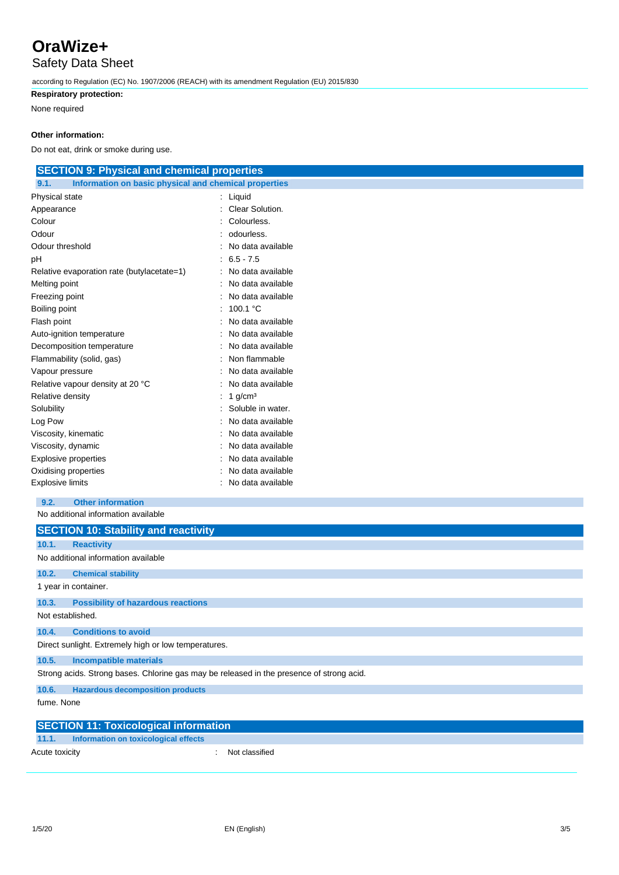Safety Data Sheet

according to Regulation (EC) No. 1907/2006 (REACH) with its amendment Regulation (EU) 2015/830

# **Respiratory protection:**

None required

## **Other information:**

Do not eat, drink or smoke during use.

| <b>SECTION 9: Physical and chemical properties</b>            |                   |  |  |
|---------------------------------------------------------------|-------------------|--|--|
| Information on basic physical and chemical properties<br>9.1. |                   |  |  |
| Physical state                                                | : Liquid          |  |  |
| Appearance                                                    | Clear Solution.   |  |  |
| Colour                                                        | Colourless.       |  |  |
| Odour                                                         | odourless.        |  |  |
| Odour threshold                                               | No data available |  |  |
| pH                                                            | $6.5 - 7.5$       |  |  |
| Relative evaporation rate (butylacetate=1)                    | No data available |  |  |
| Melting point                                                 | No data available |  |  |
| Freezing point                                                | No data available |  |  |
| Boiling point                                                 | 100.1 $°C$        |  |  |
| Flash point                                                   | No data available |  |  |
| Auto-ignition temperature                                     | No data available |  |  |
| Decomposition temperature                                     | No data available |  |  |
| Flammability (solid, gas)                                     | Non flammable     |  |  |
| Vapour pressure                                               | No data available |  |  |
| Relative vapour density at 20 °C                              | No data available |  |  |
| Relative density                                              | 1 $q/cm3$         |  |  |
| Solubility                                                    | Soluble in water. |  |  |
| Log Pow                                                       | No data available |  |  |
| Viscosity, kinematic                                          | No data available |  |  |
| Viscosity, dynamic                                            | No data available |  |  |
| <b>Explosive properties</b>                                   | No data available |  |  |
| Oxidising properties                                          | No data available |  |  |
| <b>Explosive limits</b>                                       | No data available |  |  |
| <b>Other information</b><br>9.2.                              |                   |  |  |
| No additional information available                           |                   |  |  |
|                                                               |                   |  |  |
| <b>SECTION 10: Stability and reactivity</b>                   |                   |  |  |

| 10.1.          | <b>Reactivity</b>                                                                        |  |  |
|----------------|------------------------------------------------------------------------------------------|--|--|
|                | No additional information available                                                      |  |  |
| 10.2.          | <b>Chemical stability</b>                                                                |  |  |
|                | 1 year in container.                                                                     |  |  |
| 10.3.          | <b>Possibility of hazardous reactions</b>                                                |  |  |
|                | Not established.                                                                         |  |  |
| 10.4.          | <b>Conditions to avoid</b>                                                               |  |  |
|                | Direct sunlight. Extremely high or low temperatures.                                     |  |  |
| 10.5.          | <b>Incompatible materials</b>                                                            |  |  |
|                | Strong acids. Strong bases. Chlorine gas may be released in the presence of strong acid. |  |  |
| 10.6.          | <b>Hazardous decomposition products</b>                                                  |  |  |
| fume, None     |                                                                                          |  |  |
|                | <b>SECTION 11: Toxicological information</b>                                             |  |  |
| 11.1.          | Information on toxicological effects                                                     |  |  |
| Acute toxicity | Not classified                                                                           |  |  |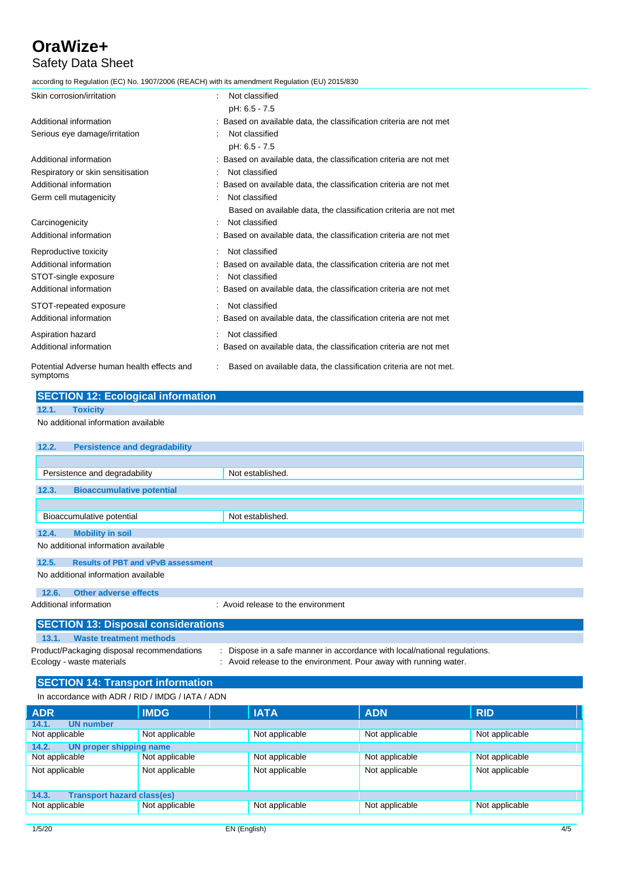# Safety Data Sheet

according to Regulation (EC) No. 1907/2006 (REACH) with its amendment Regulation (EU) 2015/830

| Skin corrosion/irritation                              | Not classified                                                     |
|--------------------------------------------------------|--------------------------------------------------------------------|
|                                                        | pH: 6.5 - 7.5                                                      |
| Additional information                                 | : Based on available data, the classification criteria are not met |
| Serious eye damage/irritation                          | Not classified                                                     |
|                                                        | pH: 6.5 - 7.5                                                      |
| Additional information                                 | : Based on available data, the classification criteria are not met |
| Respiratory or skin sensitisation                      | Not classified                                                     |
| Additional information                                 | : Based on available data, the classification criteria are not met |
| Germ cell mutagenicity                                 | Not classified                                                     |
|                                                        | Based on available data, the classification criteria are not met   |
| Carcinogenicity                                        | Not classified                                                     |
| Additional information                                 | : Based on available data, the classification criteria are not met |
| Reproductive toxicity                                  | Not classified                                                     |
| Additional information                                 | : Based on available data, the classification criteria are not met |
| STOT-single exposure                                   | Not classified                                                     |
| Additional information                                 | : Based on available data, the classification criteria are not met |
| STOT-repeated exposure                                 | Not classified                                                     |
| Additional information                                 | : Based on available data, the classification criteria are not met |
| Aspiration hazard                                      | Not classified                                                     |
| Additional information                                 | : Based on available data, the classification criteria are not met |
| Potential Adverse human health effects and<br>symptoms | Based on available data, the classification criteria are not met.  |

| <b>SECTION 12: Ecological information</b> |  |
|-------------------------------------------|--|
|                                           |  |

```
12.1. Toxicity
```
#### No additional information available

| 12.2.                               | <b>Persistence and degradability</b>                                                                                                                                                                                                                                                                                                                                                                                         |                                    |  |
|-------------------------------------|------------------------------------------------------------------------------------------------------------------------------------------------------------------------------------------------------------------------------------------------------------------------------------------------------------------------------------------------------------------------------------------------------------------------------|------------------------------------|--|
|                                     |                                                                                                                                                                                                                                                                                                                                                                                                                              |                                    |  |
|                                     | Persistence and degradability                                                                                                                                                                                                                                                                                                                                                                                                | Not established.                   |  |
| 12.3.                               | <b>Bioaccumulative potential</b>                                                                                                                                                                                                                                                                                                                                                                                             |                                    |  |
|                                     |                                                                                                                                                                                                                                                                                                                                                                                                                              |                                    |  |
|                                     | Bioaccumulative potential                                                                                                                                                                                                                                                                                                                                                                                                    | Not established.                   |  |
| 12.4.                               | <b>Mobility in soil</b>                                                                                                                                                                                                                                                                                                                                                                                                      |                                    |  |
| No additional information available |                                                                                                                                                                                                                                                                                                                                                                                                                              |                                    |  |
| 12.5.                               | <b>Results of PBT and vPvB assessment</b>                                                                                                                                                                                                                                                                                                                                                                                    |                                    |  |
| No additional information available |                                                                                                                                                                                                                                                                                                                                                                                                                              |                                    |  |
| 12.6.                               | Other adverse effects                                                                                                                                                                                                                                                                                                                                                                                                        |                                    |  |
|                                     | Additional information                                                                                                                                                                                                                                                                                                                                                                                                       | : Avoid release to the environment |  |
|                                     | $\mathbf{A} = \mathbf{A} + \mathbf{A} + \mathbf{A} + \mathbf{A} + \mathbf{A} + \mathbf{A} + \mathbf{A} + \mathbf{A} + \mathbf{A} + \mathbf{A} + \mathbf{A} + \mathbf{A} + \mathbf{A} + \mathbf{A} + \mathbf{A} + \mathbf{A} + \mathbf{A} + \mathbf{A} + \mathbf{A} + \mathbf{A} + \mathbf{A} + \mathbf{A} + \mathbf{A} + \mathbf{A} + \mathbf{A} + \mathbf{A} + \mathbf{A} + \mathbf{A} + \mathbf{A} + \mathbf{A} + \mathbf$ |                                    |  |

#### **SECTION 13: Disposal considerations 13.1. Waste treatment methods** Product/Packaging disposal recommendations : Dispose in a safe manner in accordance with local/national regulations. Ecology - waste materials : Avoid release to the environment. Pour away with running water.

## **SECTION 14: Transport information**

In accordance with ADR / RID / IMDG / IATA / ADN

| <b>ADR</b>                                 | <b>IMDG</b>    | <b>IATA</b>    | <b>ADN</b>     | <b>RID</b>     |
|--------------------------------------------|----------------|----------------|----------------|----------------|
| 14.1.<br><b>UN number</b>                  |                |                |                |                |
| Not applicable                             | Not applicable | Not applicable | Not applicable | Not applicable |
| 14.2.<br>UN proper shipping name           |                |                |                |                |
| Not applicable                             | Not applicable | Not applicable | Not applicable | Not applicable |
| Not applicable                             | Not applicable | Not applicable | Not applicable | Not applicable |
| <b>Transport hazard class(es)</b><br>14.3. |                |                |                |                |
| Not applicable                             | Not applicable | Not applicable | Not applicable | Not applicable |